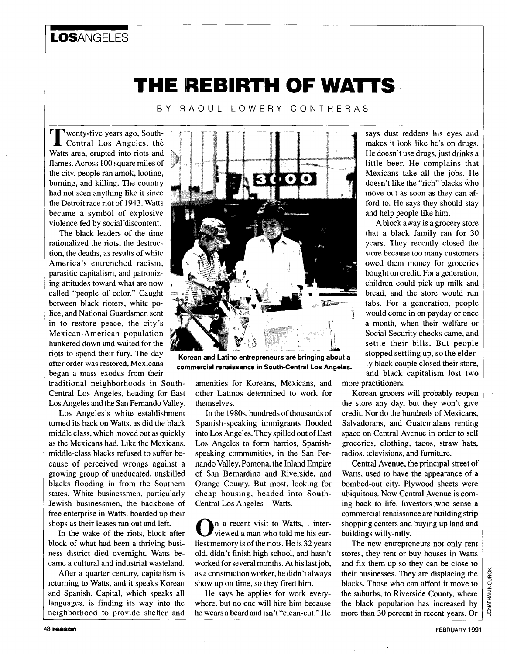## LOSANGELES

## THE REBIRTH OF WATTS

BY RAOUL LOWERY CONTRERAS

wenty-five years ago, South- **T** Central Los Angeles, the Watts area, erupted into riots and flames. Across 100 square miles of the city, people ran amok, looting, burning, and killing. The country had not seen anything like it since the Detroit race riot of 1943. Watts became a symbol of explosive violence fed by social'discontent.

The black leaders of the time rationalized the riots, the destruction, the deaths, as results of white America's entrenched racism, parasitic capitalism, and patronizing attitudes toward what are now called "people of color." Caught between black rioters, white police, and National Guardsmen sent in to restore peace, the city's Mexican-American population hunkered down and waited for the riots to spend their fury. The day after order **was** restored, Mexicans **commercial renaissance in South-Central Los Angeles.** began a mass exodus from their

traditional neighborhoods in South-Central Los Angeles, heading for East Los Angeles and the San Fernando Valley.

Los Angeles's white establishment turned its back on Watts, as did the black middle class, which moved out as quickly as the Mexicans had. Like the Mexicans, middle-class blacks refused to suffer because of perceived wrongs against a growing group of uneducated, unskilled blacks flooding in from the Southern states. White businessmen, particularly Jewish businessmen, the backbone of free enterprise in Watts, boarded up their shops as their leases ran out and left.

In the wake of the riots, block after block of what had been a thriving business district died overnight. Watts became a cultural and industrial wasteland.

After a quarter century, capitalism is returning to Watts, and it speaks Korean and Spanish. Capital, which speaks all languages, is finding its way into the neighborhood to provide shelter and



**Korean and Latino entrepreneurs are bringing about a** 

amenities for Koreans, Mexicans, and other Latinos determined to work for themselves.

In the **1980s,** hundreds of thousands of Spanish-speaking immigrants flooded into Los Angeles. They spilled out of East Los Angeles to form barrios, Spanishspeaking communities, in the San Fernando Valley, Pomona, the Inland Empire of San Bemardino and Riverside, and Orange County. But most, looking for cheap housing, headed into South-Central **Los** Angeles-Watts.

n a recent visit to Watts, **I** inter- **0** viewed a man who told me his earliest memory is of the riots. He is **32** years old, didn't finish high school, and hasn't worked for several months. At his last job, as a construction worker, he didn't always show up on time, so they fired him.

He says he applies for work everywhere, but no one will hire him because he wears a beard and isn't "clean-cut." He says dust reddens his eyes and makes it look like he's on drugs. He doesn't use drugs, just drinks a little beer. He complains that Mexicans take all the jobs. He doesn't like the "rich" blacks who move out as soon as they can afford to. He says they should stay and help people like him.

A block away is a grocery store that a black family ran for 30 years. They recently closed the store because too many customers owed them money for groceries bought on credit. For a generation, children could pick up milk and bread, and the store would run tabs. For a generation, people would come in on payday or once a month, when their welfare or Social Security checks came, and settle their bills. But people stopped settling up, *so* the elderly black couple closed their store, and black capitalism lost two more practitioners.

Korean grocers will probably reopen the store any day, but they won't give

credit. Nor do the hundreds of Mexicans, Salvadorans, and Guatemalans renting space on Central Avenue in order to sell groceries, clothing, tacos, straw hats, radios, televisions, and furniture.

Central Avenue, the principal street of Watts, used to have the appearance of **a**  bombed-out city. Plywood sheets were ubiquitous. Now Central Avenue is coming back to life. Investors who sense a commercial renaissance are building strip shopping centers and buying up land and buildings willy-nilly.

The new entrepreneurs not only rent stores, they rent or buy houses in Watts and fix them up so they can be close to their businesses. They are displacing the blacks. Those who can afford it move to the suburbs, to Riverside County, where the black population has increased by more than 30 percent in recent years. Or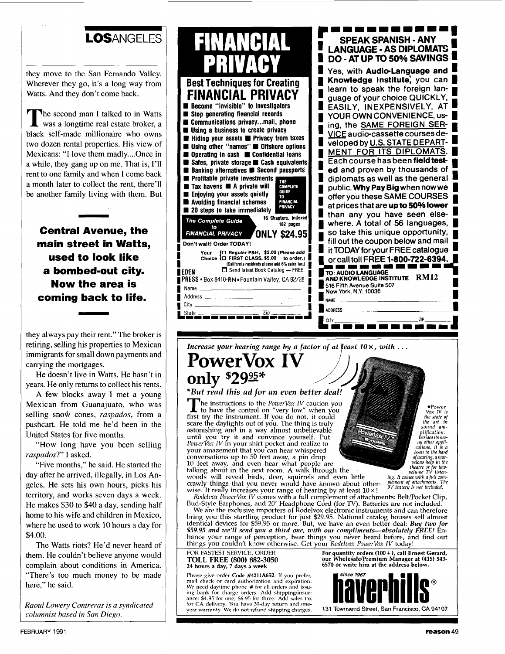### LOSANGELES

they move to the San Fernando Valley. Wherever they go, it's a long way from Watts. And they don't come back.

he second man **I** talked to in Watts **T** was a longtime real estate broker, a black self-made millionaire who owns two dozen rental properties. His view of Mexicans: "I love them madly....Once in a while, they gang up on me. That is, I'll rent to one family and when **I** come back a month later to collect the rent, there'll be another family living with them. But

**Central Avenue, the main street in Watts, used to look like a bombed-out city. Now the area is coming back to life.** 

they always pay their rent." The broker is retiring, selling his properties to Mexican immigrants for small down payments and carrying the mortgages.

He doesn't live in Watts. He hasn't in years. He only returns to collect his rents.

A few blocks away **I** met a young Mexican from Guanajuato, who was selling **snoiv** cones, *raspados,* from a pushcart. He told me he'd been in the United States for five months.

"How long have you been selling *raspados?"* **I** asked.

"Five months," he said. He started the day after he arrived, illegally, in Los Angeles. He sets his own hours, picks his territory, and works seven days a week. He makes \$30 to \$40 a day, sending half home to his wife and children in Mexico, where he used to work 10 hours a day for \$4.00.

The Watts riots? He'd never heard of them. He couldn't believe anyone would complain about conditions in America. "There's too much money to be made here." he said.

*Raoul Lowery Contreras is a syndicated columnist based in San Diego.* 

*Increase your hearing range by a factor of at least 10*  $\times$ *, with ...* **PowerVox IV** 

# only \$29<sup>95\*</sup>

#### **\*But** *rgad this ad for an even better deal.;*

The instructions to the *PowerVox IV* caution you<br>first try the instrument. If you do not, it could scare the daylights out of you. The thing is truly<br>astonishing and in a way almost unbelievable<br>until you try it and convince yourself. Put<br>*PowerVox IV* in your shirt pocket and realize to **10001 FM2011**<br>**10001 amazement that you can hear whispered**<br>conversations up to 50 feet away, a pin drop<br>10 feet away, and even hear what people are talking about in the next room. A walk through the

conversations up to 50 feet away, a pin drop<br>
10 feet away, and even hear what people are<br>
the the text room. A walk through the<br>
woods will reveal birds, deer, squirrels and even little<br> *ing. It comes with a full comes w*  $c$ rawly things that you never would have known about other**wise.** It really increases your range of hearing by at least  $10 \times 1$ 

*Rodelvox PowerVox IV* comes with a full complement of attachments: Belt/Pocket Clip,

Bud-Style Earphones, and 20' Headphone Cord (for TV). Batteries are not included.<br>We are the exclusive importers of Rodelvox electronic instruments and can therefore bring you this startling product for just \$29.95. National catalog houses sell almost<br>identical devices for \$59.95 or more. But, we have an even better deal: *Buy two for* **hance your ran e of perception, hear things you never heard before, and find out**  *\$59.95 and we'll send* **you** *a third one, with our compliments-absolutely FREE!*  **things you couljn't know otherwise. Get your** *Rodelvox PozuerVox IV* **today!** 

#### **6570 or write him at the address below. TOLL FREE** *(800)* **882-3050 24 hours a day, 7 days a week**

**Please give order Code #4211A652. If** yon **prefer, mail check or card authorization and expiration. We need daytime phone** # **for all orders** and **issuing bank for charge orders. Add shippingiinsur- anre: 54.95 for cine; \$6.95 fnr thrrr. Add sales tax for (3.4 delivery. You haw 30-day return and one- year warranty. We** de nnt **refund shiuuine charms. 131 Townsend Street, San Francisco, CA <sup>94107</sup>**



-

 $P<sub>ower</sub>$ Fower<br>Vox IV is<br>the state of<br>the art in<br>sound am-<br>plification. Besides its ma ny other appli-<br>cations, it is a<br>boon to the hard